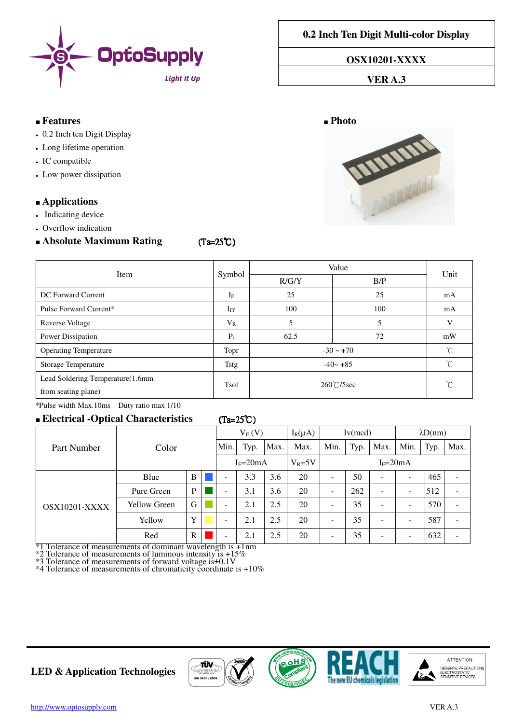

**0.2 Inch Ten Digit Multi-color Display**

**OSX10201-XXXX** 

### **VER A.3**

#### ■ **Features** ■ **Photo**

- 0.2 Inch ten Digit Display
- Long lifetime operation
- IC compatible
- Low power dissipation

## ■ **Applications**

- Indicating device
- Overflow indication

# ■ Abso

| <b>Absolute Maximum Rating</b>    | $(Ta=25^{\circ}C)$ |                      |                |              |
|-----------------------------------|--------------------|----------------------|----------------|--------------|
| Item                              |                    | Value                |                |              |
|                                   | Symbol             | R/G/Y                | B/P            | Unit         |
| DC Forward Current                | $I_F$              | 25                   | 25             | mA           |
| Pulse Forward Current*            | $_{\rm IFP}$       | 100                  | 100            | mA           |
| Reverse Voltage                   | $V_{R}$            | 5                    | 5              | V            |
| Power Dissipation                 | $P_t$              | 62.5                 | 72             | mW           |
| <b>Operating Temperature</b>      | Topr               |                      | $-30 \sim +70$ | $^{\circ}C$  |
| Storage Temperature               | Tstg               |                      | $-40 - +85$    | $^{\circ}C$  |
| Lead Soldering Temperature(1.6mm) | Tsol               | $260^{\circ}$ C/5sec |                | $^{\circ}$ C |

from seating plane)

\*Pulse width Max.10ms Duty ratio max 1/10

# ■ **Electrical -Optical Characteristics** (Ta=25℃ (Ta=25℃)

|                                                                                     |                      |              | $V_F(V)$ |                                             | $I_R(\mu A)$ | Iv(mcd) |            | $\lambda D(nm)$          |      |      |                          |      |      |
|-------------------------------------------------------------------------------------|----------------------|--------------|----------|---------------------------------------------|--------------|---------|------------|--------------------------|------|------|--------------------------|------|------|
| Color<br>Part Number                                                                |                      |              |          | Min.                                        | Typ.         | Max.    | Max.       | Min.                     | Typ. | Max. | Min.                     | Typ. | Max. |
|                                                                                     |                      |              |          | $I_F = 20mA$                                |              |         | $V_R = 5V$ | $I_F = 20mA$             |      |      |                          |      |      |
| <b>OSX10201-XXXX</b><br>$\overline{a}$ $\overline{a}$ $\overline{a}$ $\overline{a}$ | Blue                 | B            |          | $\overline{\phantom{a}}$                    | 3.3          | 3.6     | 20         | ۰                        | 50   | -    | $\overline{\phantom{0}}$ | 465  | ۰    |
|                                                                                     | Pure Green           | P            |          | $\overline{\phantom{a}}$                    | 3.1          | 3.6     | 20         | $\overline{\phantom{0}}$ | 262  | -    | -                        | 512  |      |
|                                                                                     | <b>Yellow Green</b>  | G            |          | $\overline{\phantom{a}}$                    | 2.1          | 2.5     | 20         | ۰                        | 35   | ۰    | $\overline{\phantom{0}}$ | 570  |      |
|                                                                                     | Yellow               | Y            |          | $\overline{\phantom{a}}$                    | 2.1          | 2.5     | 20         | ۰                        | 35   | ۰    | $\overline{\phantom{0}}$ | 587  |      |
|                                                                                     | Red<br>$\sim$ $\sim$ | $\mathbb{R}$ |          | $\overline{\phantom{a}}$<br>$\cdot$ $\cdot$ | 2.1          | 2.5     | 20         | -                        | 35   | ۰    | -                        | 632  |      |

\*1 Tolerance of measurements of dominant wavelength is +1nm

\*2 Tolerance of measurements of luminous intensity is +15%

\*3 Tolerance of measurements of forward voltage is±0.1V  $*4$  Tolerance of measurements of chromaticity coordinate is  $+10\%$